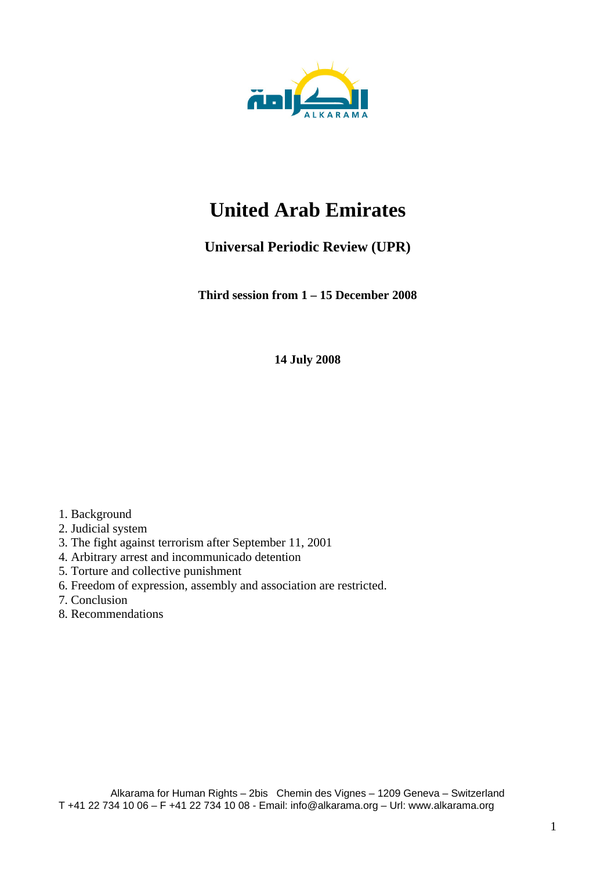

# **United Arab Emirates**

# **Universal Periodic Review (UPR)**

**Third session from 1 – 15 December 2008** 

**14 July 2008** 

- 1. Background
- 2. Judicial system
- 3. The fight against terrorism after September 11, 2001
- 4. Arbitrary arrest and incommunicado detention
- 5. Torture and collective punishment
- 6. Freedom of expression, assembly and association are restricted.
- 7. Conclusion
- 8. Recommendations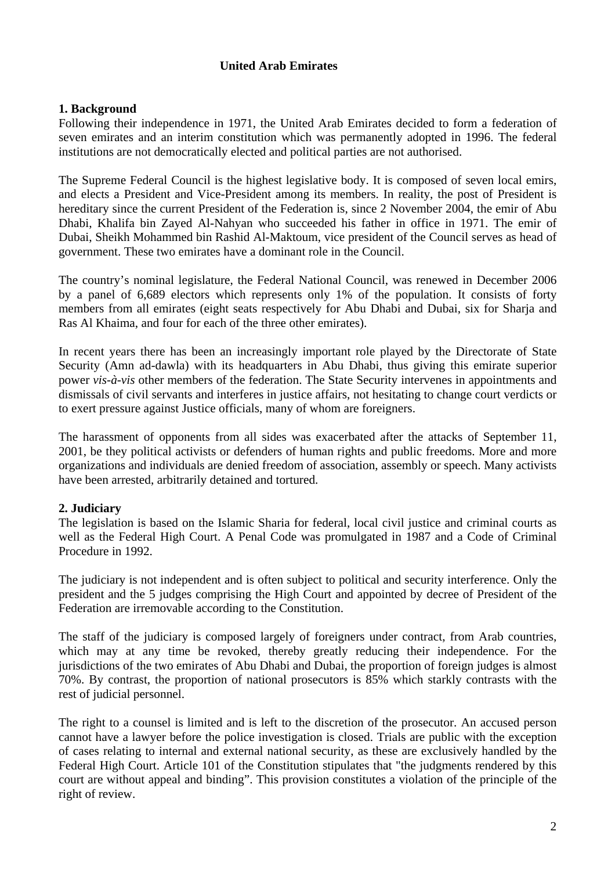# **United Arab Emirates**

# **1. Background**

Following their independence in 1971, the United Arab Emirates decided to form a federation of seven emirates and an interim constitution which was permanently adopted in 1996. The federal institutions are not democratically elected and political parties are not authorised.

The Supreme Federal Council is the highest legislative body. It is composed of seven local emirs, and elects a President and Vice-President among its members. In reality, the post of President is hereditary since the current President of the Federation is, since 2 November 2004, the emir of Abu Dhabi, Khalifa bin Zayed Al-Nahyan who succeeded his father in office in 1971. The emir of Dubai, Sheikh Mohammed bin Rashid Al-Maktoum, vice president of the Council serves as head of government. These two emirates have a dominant role in the Council.

The country's nominal legislature, the Federal National Council, was renewed in December 2006 by a panel of 6,689 electors which represents only 1% of the population. It consists of forty members from all emirates (eight seats respectively for Abu Dhabi and Dubai, six for Sharja and Ras Al Khaima, and four for each of the three other emirates).

In recent years there has been an increasingly important role played by the Directorate of State Security (Amn ad-dawla) with its headquarters in Abu Dhabi, thus giving this emirate superior power *vis-à-vis* other members of the federation. The State Security intervenes in appointments and dismissals of civil servants and interferes in justice affairs, not hesitating to change court verdicts or to exert pressure against Justice officials, many of whom are foreigners.

The harassment of opponents from all sides was exacerbated after the attacks of September 11, 2001, be they political activists or defenders of human rights and public freedoms. More and more organizations and individuals are denied freedom of association, assembly or speech. Many activists have been arrested, arbitrarily detained and tortured.

# **2. Judiciary**

The legislation is based on the Islamic Sharia for federal, local civil justice and criminal courts as well as the Federal High Court. A Penal Code was promulgated in 1987 and a Code of Criminal Procedure in 1992.

The judiciary is not independent and is often subject to political and security interference. Only the president and the 5 judges comprising the High Court and appointed by decree of President of the Federation are irremovable according to the Constitution.

The staff of the judiciary is composed largely of foreigners under contract, from Arab countries, which may at any time be revoked, thereby greatly reducing their independence. For the jurisdictions of the two emirates of Abu Dhabi and Dubai, the proportion of foreign judges is almost 70%. By contrast, the proportion of national prosecutors is 85% which starkly contrasts with the rest of judicial personnel.

The right to a counsel is limited and is left to the discretion of the prosecutor. An accused person cannot have a lawyer before the police investigation is closed. Trials are public with the exception of cases relating to internal and external national security, as these are exclusively handled by the Federal High Court. Article 101 of the Constitution stipulates that "the judgments rendered by this court are without appeal and binding". This provision constitutes a violation of the principle of the right of review.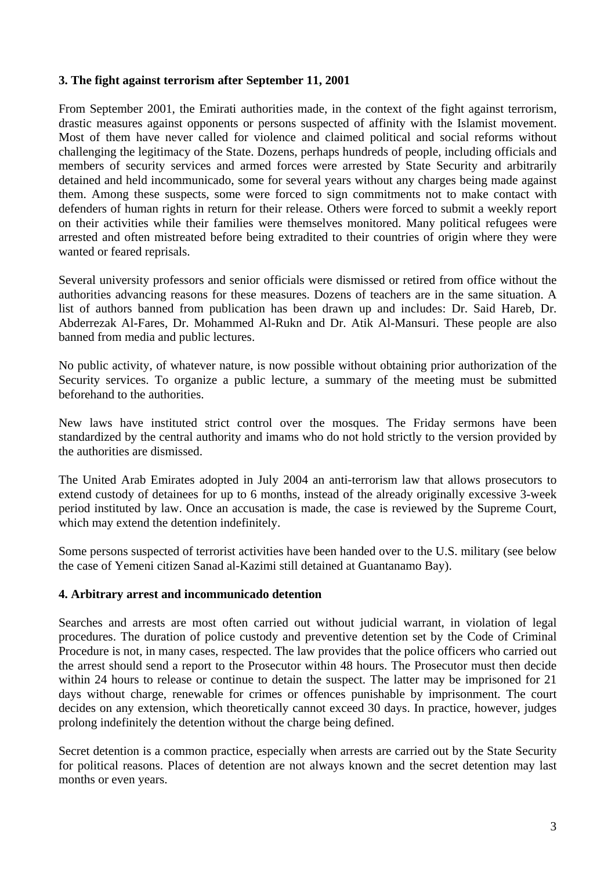## **3. The fight against terrorism after September 11, 2001**

From September 2001, the Emirati authorities made, in the context of the fight against terrorism, drastic measures against opponents or persons suspected of affinity with the Islamist movement. Most of them have never called for violence and claimed political and social reforms without challenging the legitimacy of the State. Dozens, perhaps hundreds of people, including officials and members of security services and armed forces were arrested by State Security and arbitrarily detained and held incommunicado, some for several years without any charges being made against them. Among these suspects, some were forced to sign commitments not to make contact with defenders of human rights in return for their release. Others were forced to submit a weekly report on their activities while their families were themselves monitored. Many political refugees were arrested and often mistreated before being extradited to their countries of origin where they were wanted or feared reprisals.

Several university professors and senior officials were dismissed or retired from office without the authorities advancing reasons for these measures. Dozens of teachers are in the same situation. A list of authors banned from publication has been drawn up and includes: Dr. Said Hareb, Dr. Abderrezak Al-Fares, Dr. Mohammed Al-Rukn and Dr. Atik Al-Mansuri. These people are also banned from media and public lectures.

No public activity, of whatever nature, is now possible without obtaining prior authorization of the Security services. To organize a public lecture, a summary of the meeting must be submitted beforehand to the authorities.

New laws have instituted strict control over the mosques. The Friday sermons have been standardized by the central authority and imams who do not hold strictly to the version provided by the authorities are dismissed.

The United Arab Emirates adopted in July 2004 an anti-terrorism law that allows prosecutors to extend custody of detainees for up to 6 months, instead of the already originally excessive 3-week period instituted by law. Once an accusation is made, the case is reviewed by the Supreme Court, which may extend the detention indefinitely.

Some persons suspected of terrorist activities have been handed over to the U.S. military (see below the case of Yemeni citizen Sanad al-Kazimi still detained at Guantanamo Bay).

#### **4. Arbitrary arrest and incommunicado detention**

Searches and arrests are most often carried out without judicial warrant, in violation of legal procedures. The duration of police custody and preventive detention set by the Code of Criminal Procedure is not, in many cases, respected. The law provides that the police officers who carried out the arrest should send a report to the Prosecutor within 48 hours. The Prosecutor must then decide within 24 hours to release or continue to detain the suspect. The latter may be imprisoned for 21 days without charge, renewable for crimes or offences punishable by imprisonment. The court decides on any extension, which theoretically cannot exceed 30 days. In practice, however, judges prolong indefinitely the detention without the charge being defined.

Secret detention is a common practice, especially when arrests are carried out by the State Security for political reasons. Places of detention are not always known and the secret detention may last months or even years.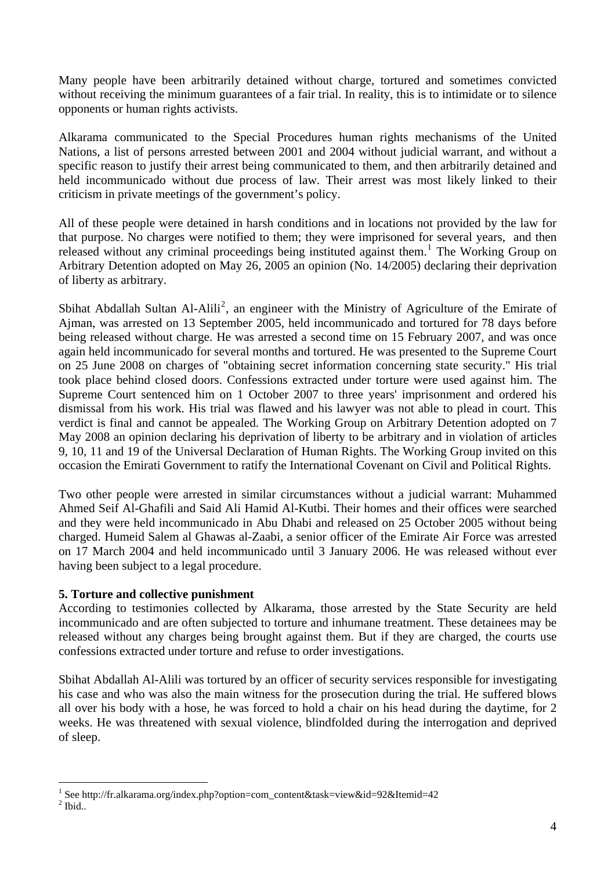Many people have been arbitrarily detained without charge, tortured and sometimes convicted without receiving the minimum guarantees of a fair trial. In reality, this is to intimidate or to silence opponents or human rights activists.

Alkarama communicated to the Special Procedures human rights mechanisms of the United Nations, a list of persons arrested between 2001 and 2004 without judicial warrant, and without a specific reason to justify their arrest being communicated to them, and then arbitrarily detained and held incommunicado without due process of law. Their arrest was most likely linked to their criticism in private meetings of the government's policy.

All of these people were detained in harsh conditions and in locations not provided by the law for that purpose. No charges were notified to them; they were imprisoned for several years, and then released without any criminal proceedings being instituted against them.<sup>[1](#page-3-0)</sup> The Working Group on Arbitrary Detention adopted on May 26, 2005 an opinion (No. 14/2005) declaring their deprivation of liberty as arbitrary.

Sbihat Abdallah Sultan Al-Alili<sup>[2](#page-3-1)</sup>, an engineer with the Ministry of Agriculture of the Emirate of Ajman, was arrested on 13 September 2005, held incommunicado and tortured for 78 days before being released without charge. He was arrested a second time on 15 February 2007, and was once again held incommunicado for several months and tortured. He was presented to the Supreme Court on 25 June 2008 on charges of "obtaining secret information concerning state security." His trial took place behind closed doors. Confessions extracted under torture were used against him. The Supreme Court sentenced him on 1 October 2007 to three years' imprisonment and ordered his dismissal from his work. His trial was flawed and his lawyer was not able to plead in court. This verdict is final and cannot be appealed. The Working Group on Arbitrary Detention adopted on 7 May 2008 an opinion declaring his deprivation of liberty to be arbitrary and in violation of articles 9, 10, 11 and 19 of the Universal Declaration of Human Rights. The Working Group invited on this occasion the Emirati Government to ratify the International Covenant on Civil and Political Rights.

Two other people were arrested in similar circumstances without a judicial warrant: Muhammed Ahmed Seif Al-Ghafili and Said Ali Hamid Al-Kutbi. Their homes and their offices were searched and they were held incommunicado in Abu Dhabi and released on 25 October 2005 without being charged. Humeid Salem al Ghawas al-Zaabi, a senior officer of the Emirate Air Force was arrested on 17 March 2004 and held incommunicado until 3 January 2006. He was released without ever having been subject to a legal procedure.

# **5. Torture and collective punishment**

 $\overline{a}$ 

According to testimonies collected by Alkarama, those arrested by the State Security are held incommunicado and are often subjected to torture and inhumane treatment. These detainees may be released without any charges being brought against them. But if they are charged, the courts use confessions extracted under torture and refuse to order investigations.

Sbihat Abdallah Al-Alili was tortured by an officer of security services responsible for investigating his case and who was also the main witness for the prosecution during the trial. He suffered blows all over his body with a hose, he was forced to hold a chair on his head during the daytime, for 2 weeks. He was threatened with sexual violence, blindfolded during the interrogation and deprived of sleep.

<span id="page-3-1"></span><span id="page-3-0"></span><sup>&</sup>lt;sup>1</sup> See http://fr.alkarama.org/index.php?option=com\_content&task=view&id=92&Itemid=42  $<sup>2</sup>$  Ibid..</sup>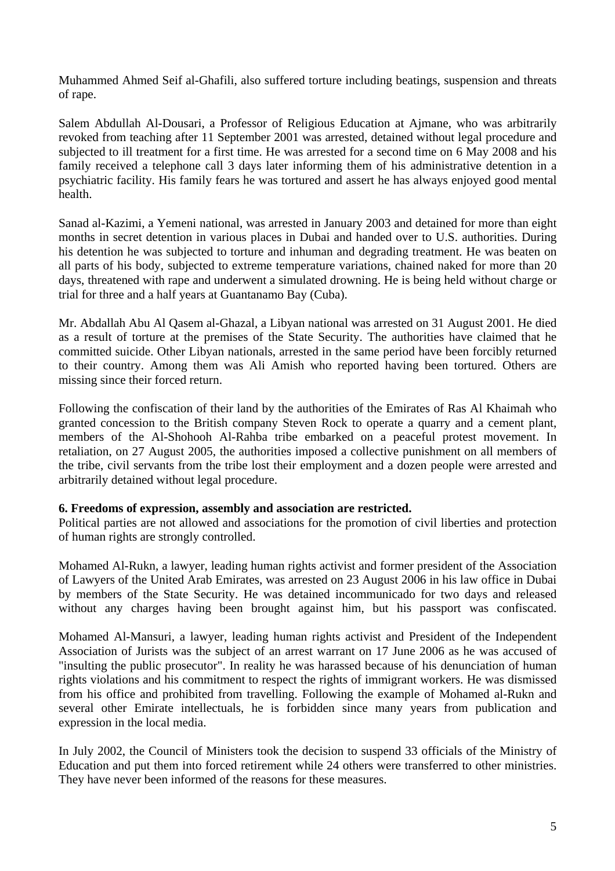Muhammed Ahmed Seif al-Ghafili, also suffered torture including beatings, suspension and threats of rape.

Salem Abdullah Al-Dousari, a Professor of Religious Education at Ajmane, who was arbitrarily revoked from teaching after 11 September 2001 was arrested, detained without legal procedure and subjected to ill treatment for a first time. He was arrested for a second time on 6 May 2008 and his family received a telephone call 3 days later informing them of his administrative detention in a psychiatric facility. His family fears he was tortured and assert he has always enjoyed good mental health.

Sanad al-Kazimi, a Yemeni national, was arrested in January 2003 and detained for more than eight months in secret detention in various places in Dubai and handed over to U.S. authorities. During his detention he was subjected to torture and inhuman and degrading treatment. He was beaten on all parts of his body, subjected to extreme temperature variations, chained naked for more than 20 days, threatened with rape and underwent a simulated drowning. He is being held without charge or trial for three and a half years at Guantanamo Bay (Cuba).

Mr. Abdallah Abu Al Qasem al-Ghazal, a Libyan national was arrested on 31 August 2001. He died as a result of torture at the premises of the State Security. The authorities have claimed that he committed suicide. Other Libyan nationals, arrested in the same period have been forcibly returned to their country. Among them was Ali Amish who reported having been tortured. Others are missing since their forced return.

Following the confiscation of their land by the authorities of the Emirates of Ras Al Khaimah who granted concession to the British company Steven Rock to operate a quarry and a cement plant, members of the Al-Shohooh Al-Rahba tribe embarked on a peaceful protest movement. In retaliation, on 27 August 2005, the authorities imposed a collective punishment on all members of the tribe, civil servants from the tribe lost their employment and a dozen people were arrested and arbitrarily detained without legal procedure.

# **6. Freedoms of expression, assembly and association are restricted.**

Political parties are not allowed and associations for the promotion of civil liberties and protection of human rights are strongly controlled.

Mohamed Al-Rukn, a lawyer, leading human rights activist and former president of the Association of Lawyers of the United Arab Emirates, was arrested on 23 August 2006 in his law office in Dubai by members of the State Security. He was detained incommunicado for two days and released without any charges having been brought against him, but his passport was confiscated.

Mohamed Al-Mansuri, a lawyer, leading human rights activist and President of the Independent Association of Jurists was the subject of an arrest warrant on 17 June 2006 as he was accused of "insulting the public prosecutor". In reality he was harassed because of his denunciation of human rights violations and his commitment to respect the rights of immigrant workers. He was dismissed from his office and prohibited from travelling. Following the example of Mohamed al-Rukn and several other Emirate intellectuals, he is forbidden since many years from publication and expression in the local media.

In July 2002, the Council of Ministers took the decision to suspend 33 officials of the Ministry of Education and put them into forced retirement while 24 others were transferred to other ministries. They have never been informed of the reasons for these measures.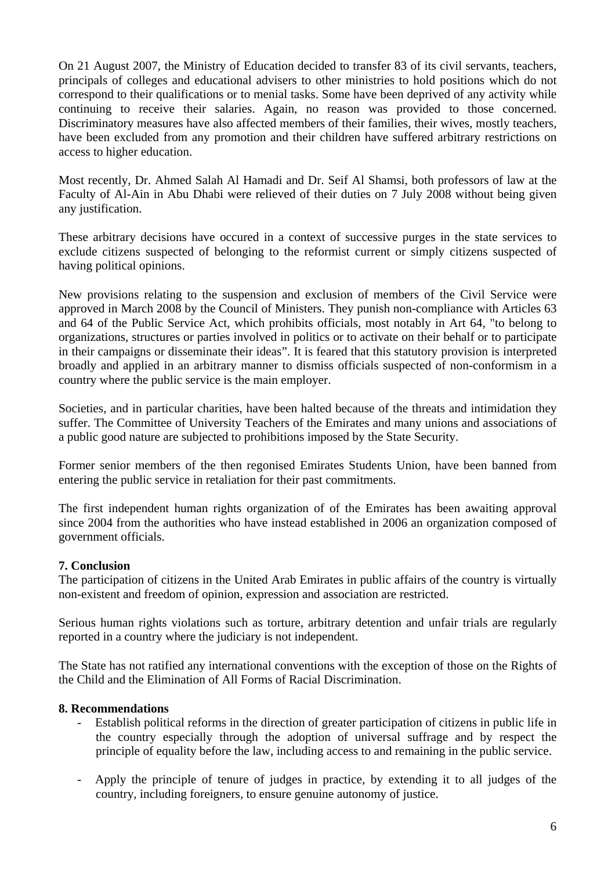On 21 August 2007, the Ministry of Education decided to transfer 83 of its civil servants, teachers, principals of colleges and educational advisers to other ministries to hold positions which do not correspond to their qualifications or to menial tasks. Some have been deprived of any activity while continuing to receive their salaries. Again, no reason was provided to those concerned. Discriminatory measures have also affected members of their families, their wives, mostly teachers, have been excluded from any promotion and their children have suffered arbitrary restrictions on access to higher education.

Most recently, Dr. Ahmed Salah Al Hamadi and Dr. Seif Al Shamsi, both professors of law at the Faculty of Al-Ain in Abu Dhabi were relieved of their duties on 7 July 2008 without being given any justification.

These arbitrary decisions have occured in a context of successive purges in the state services to exclude citizens suspected of belonging to the reformist current or simply citizens suspected of having political opinions.

New provisions relating to the suspension and exclusion of members of the Civil Service were approved in March 2008 by the Council of Ministers. They punish non-compliance with Articles 63 and 64 of the Public Service Act, which prohibits officials, most notably in Art 64, "to belong to organizations, structures or parties involved in politics or to activate on their behalf or to participate in their campaigns or disseminate their ideas". It is feared that this statutory provision is interpreted broadly and applied in an arbitrary manner to dismiss officials suspected of non-conformism in a country where the public service is the main employer.

Societies, and in particular charities, have been halted because of the threats and intimidation they suffer. The Committee of University Teachers of the Emirates and many unions and associations of a public good nature are subjected to prohibitions imposed by the State Security.

Former senior members of the then regonised Emirates Students Union, have been banned from entering the public service in retaliation for their past commitments.

The first independent human rights organization of of the Emirates has been awaiting approval since 2004 from the authorities who have instead established in 2006 an organization composed of government officials.

# **7. Conclusion**

The participation of citizens in the United Arab Emirates in public affairs of the country is virtually non-existent and freedom of opinion, expression and association are restricted.

Serious human rights violations such as torture, arbitrary detention and unfair trials are regularly reported in a country where the judiciary is not independent.

The State has not ratified any international conventions with the exception of those on the Rights of the Child and the Elimination of All Forms of Racial Discrimination.

# **8. Recommendations**

- Establish political reforms in the direction of greater participation of citizens in public life in the country especially through the adoption of universal suffrage and by respect the principle of equality before the law, including access to and remaining in the public service.
- Apply the principle of tenure of judges in practice, by extending it to all judges of the country, including foreigners, to ensure genuine autonomy of justice.